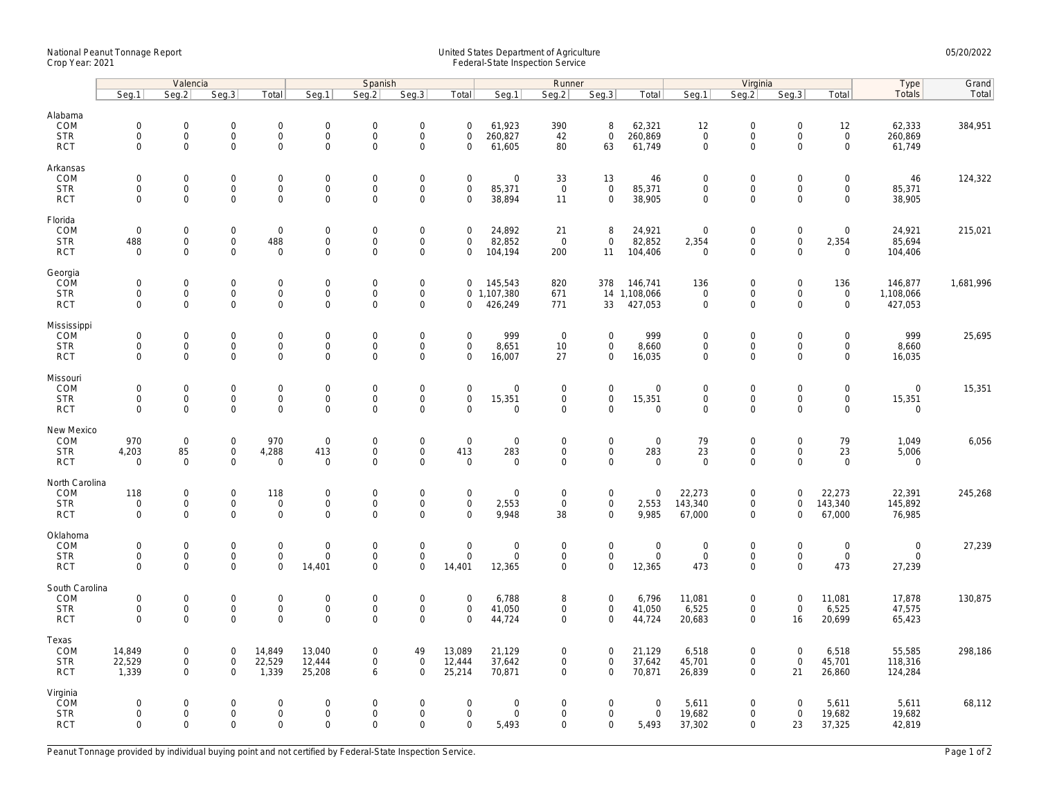## National Peanut Tonnage Report United States Department of Agriculture 05/20/2022 Crop Year: 2021 Federal-State Inspection Service

|                                                   | Valencia                                  |                                                            |                                                   |                                                           | Spanish                                           |                                           |                                                                   |                                                | Runner                                      |                                           |                                                    |                                         | Virginia                                          |                                                           |                                                |                                                     | Type                                 | Grand     |
|---------------------------------------------------|-------------------------------------------|------------------------------------------------------------|---------------------------------------------------|-----------------------------------------------------------|---------------------------------------------------|-------------------------------------------|-------------------------------------------------------------------|------------------------------------------------|---------------------------------------------|-------------------------------------------|----------------------------------------------------|-----------------------------------------|---------------------------------------------------|-----------------------------------------------------------|------------------------------------------------|-----------------------------------------------------|--------------------------------------|-----------|
|                                                   | Seq.1                                     | Seg.2                                                      | Seq.3                                             | Total                                                     | Seg.1                                             | Seq.2                                     | Seg.3                                                             | Total                                          | Seg.1                                       | Seg.2                                     | Seq.3                                              | Total                                   | Seg.1                                             | Seg.2                                                     | Seg.3                                          | Total                                               | Totals                               | Total     |
| Alabama<br>COM<br><b>STR</b><br><b>RCT</b>        | $\mathbf 0$<br>$\mathbf 0$<br>$\mathbf 0$ | $\mathbf 0$<br>$\mathsf{O}$<br>$\mathbf{O}$                | $\mathbf 0$<br>$\mathsf 0$<br>$\mathbf 0$         | $\mathbf 0$<br>$\mathsf{O}\xspace$<br>$\mathbf 0$         | $\mathbf 0$<br>$\mathsf{O}\xspace$<br>$\mathbf 0$ | $\mathbf 0$<br>$\mathsf 0$<br>$\mathbf 0$ | $\mathsf{O}\xspace$<br>$\mathsf 0$<br>$\mathbf 0$                 | $\mathbf 0$<br>$\mathbf 0$<br>$\mathbf 0$      | 61,923<br>260,827<br>61,605                 | 390<br>42<br>80                           | 8<br>$\mathsf 0$<br>63                             | 62,321<br>260,869<br>61,749             | 12<br>$\mathbf 0$<br>$\mathbf 0$                  | $\mathbf 0$<br>$\mathsf{O}$<br>$\mathbf 0$                | $\mathbf 0$<br>$\mathsf 0$<br>$\Omega$         | 12<br>$\mathsf{O}\xspace$<br>$\mathbf{O}$           | 62,333<br>260,869<br>61,749          | 384,951   |
| Arkansas<br>COM<br><b>STR</b><br><b>RCT</b>       | $\Omega$<br>$\mathbf 0$<br>$\mathbf 0$    | $\mathbf 0$<br>$\mathsf{O}\xspace$<br>$\mathbf 0$          | $\mathbf 0$<br>$\mathbf 0$<br>$\mathbf 0$         | $\mathbf 0$<br>$\mathbf 0$<br>$\mathbf 0$                 | $\mathbf 0$<br>$\mathsf{O}$<br>$\mathsf{O}$       | $\mathbf 0$<br>$\mathsf 0$<br>$\mathbf 0$ | $\mathbf 0$<br>$\mathsf{O}\xspace$<br>$\mathbf 0$                 | $\mathbf 0$<br>$\mathsf 0$<br>$\mathbf 0$      | $\mathbf 0$<br>85,371<br>38,894             | 33<br>$\mathbf 0$<br>11                   | 13<br>$\mathbf 0$<br>$\mathbf 0$                   | 46<br>85,371<br>38,905                  | 0<br>$\mathsf{O}\xspace$<br>$\mathbf 0$           | $\mathbf 0$<br>$\mathsf{O}\xspace$<br>$\mathbf 0$         | $\Omega$<br>$\mathbf 0$<br>$\mathbf 0$         | $\mathbf 0$<br>$\mathsf{O}$<br>$\mathbf 0$          | 46<br>85,371<br>38,905               | 124,322   |
| Florida<br>COM<br><b>STR</b><br><b>RCT</b>        | $\mathbf 0$<br>488<br>$\mathbf 0$         | $\mathbf 0$<br>$\mathsf{O}\xspace$<br>$\mathsf{O}\xspace$  | $\mathsf{O}\xspace$<br>$\mathbf 0$<br>$\mathbf 0$ | $\mathbf 0$<br>488<br>$\mathbf 0$                         | $\mathbf 0$<br>$\mathbf 0$<br>$\mathsf 0$         | $\mathbf 0$<br>$\mathsf 0$<br>$\mathsf 0$ | $\mathsf{O}\xspace$<br>$\mathsf{O}\xspace$<br>$\mathsf{O}\xspace$ | $\mathbf 0$<br>$\mathbf 0$<br>0                | 24,892<br>82,852<br>104,194                 | 21<br>$\mathbf 0$<br>200                  | 8<br>$\mathbf 0$<br>11                             | 24,921<br>82,852<br>104,406             | $\mathbf 0$<br>2,354<br>$\mathbf 0$               | $\mathbf 0$<br>$\mathsf{O}\xspace$<br>$\Omega$            | $\mathsf 0$<br>$\mathsf{O}\xspace$<br>$\Omega$ | $\mathsf{O}\xspace$<br>2,354<br>$\mathsf{O}\xspace$ | 24,921<br>85,694<br>104,406          | 215,021   |
| Georgia<br>COM<br><b>STR</b><br><b>RCT</b>        | $\mathbf 0$<br>$\mathbf 0$<br>$\mathbf 0$ | $\mathbf 0$<br>$\mathsf{O}\xspace$<br>$\Omega$             | $\mathbf 0$<br>$\mathbf 0$<br>$\mathbf 0$         | $\mathbf 0$<br>$\mathsf{O}\xspace$<br>$\mathbf 0$         | $\mathsf{O}$<br>$\mathsf{O}$<br>$\mathbf 0$       | $\mathbf 0$<br>$\mathsf 0$<br>$\mathbf 0$ | $\mathbf 0$<br>$\mathsf{O}\xspace$<br>$\mathbf 0$                 | $\mathbf 0$<br>$\mathbf 0$                     | 145,543<br>$0$ 1,107,380<br>426,249         | 820<br>671<br>771                         | 378<br>33                                          | 146,741<br>14 1,108,066<br>427,053      | 136<br>$\mathsf 0$<br>$\mathbf 0$                 | $\mathbf 0$<br>$\mathsf{O}\xspace$<br>$\mathbf 0$         | $\mathbf 0$<br>$\mathsf 0$<br>$\Omega$         | 136<br>$\mathsf{O}\xspace$<br>$\mathbf{0}$          | 146,877<br>1,108,066<br>427,053      | 1,681,996 |
| Mississippi<br>COM<br><b>STR</b><br><b>RCT</b>    | $\mathbf 0$<br>$\mathbf 0$<br>$\mathbf 0$ | $\mathsf{O}\xspace$<br>$\mathsf{O}\xspace$<br>$\mathbf 0$  | $\mathsf 0$<br>0<br>$\mathbf 0$                   | $\mathsf{O}\xspace$<br>$\mathbf 0$<br>$\mathbf 0$         | $\mathbf 0$<br>$\mathbf 0$<br>$\mathbf 0$         | $\mathbf 0$<br>$\mathbf 0$<br>$\mathbf 0$ | $\mathsf{O}\xspace$<br>$\mathsf{O}\xspace$<br>$\mathbf 0$         | $\mathbf 0$<br>$\mathbf 0$<br>$\mathbf 0$      | 999<br>8,651<br>16,007                      | $\overline{0}$<br>10<br>27                | $\mathsf{O}\xspace$<br>$\mathbf 0$<br>$\mathbf 0$  | 999<br>8,660<br>16,035                  | $\mathbf 0$<br>$\mathbf 0$<br>$\mathbf 0$         | $\mathbf 0$<br>$\mathsf{O}\xspace$<br>$\mathbf 0$         | $\mathsf 0$<br>$\mathbf 0$<br>$\mathbf 0$      | $\mathsf{O}\xspace$<br>$\mathbf 0$<br>$\mathbf 0$   | 999<br>8,660<br>16,035               | 25,695    |
| Missouri<br>COM<br><b>STR</b><br><b>RCT</b>       | $\mathbf 0$<br>$\mathbf 0$<br>$\Omega$    | $\mathbf 0$<br>$\mathsf{O}\xspace$<br>$\mathbf 0$          | $\mathbf 0$<br>$\mathsf{O}\xspace$<br>$\mathbf 0$ | $\mathsf{O}\xspace$<br>$\mathbf 0$<br>$\mathbf{O}$        | $\mathbf 0$<br>$\mathsf{O}$<br>$\mathbf 0$        | $\mathbf 0$<br>$\mathsf 0$<br>$\mathbf 0$ | $\mathsf{O}\xspace$<br>$\mathsf 0$<br>$\mathbf 0$                 | $\mathbf 0$<br>$\mathsf{O}\xspace$<br>$\Omega$ | $\mathbf 0$<br>15,351<br>$\mathbf 0$        | $\mathbf 0$<br>$\mathbf 0$<br>$\mathbf 0$ | $\overline{0}$<br>$\mathbf 0$<br>$\mathbf{0}$      | $\mathbf 0$<br>15,351<br>$\overline{0}$ | $\mathbf 0$<br>$\mathsf{O}\xspace$<br>$\mathbf 0$ | $\mathbf 0$<br>$\mathsf{O}$<br>$\mathbf 0$                | $\mathbf 0$<br>$\mathbf 0$<br>$\mathbf 0$      | $\mathbf 0$<br>$\mathsf{O}$<br>$\mathbf 0$          | $\mathbf 0$<br>15,351<br>$\mathbf 0$ | 15,351    |
| New Mexico<br>COM<br><b>STR</b><br><b>RCT</b>     | 970<br>4,203<br>$\mathbf 0$               | $\mathsf{O}\xspace$<br>85<br>$\mathbf 0$                   | 0<br>$\mathbf 0$<br>$\mathbf 0$                   | 970<br>4,288<br>$\mathsf{O}\xspace$                       | $\mathbf 0$<br>413<br>$\mathbf 0$                 | $\mathbf 0$<br>$\mathbf 0$<br>$\mathbf 0$ | $\mathsf{O}\xspace$<br>$\mathsf{O}\xspace$<br>$\mathbf 0$         | $\mathsf 0$<br>413<br>$\mathbf 0$              | $\mathbf 0$<br>283<br>$\mathbf 0$           | 0<br>$\mathbf 0$<br>0                     | $\mathsf{O}\xspace$<br>$\mathbf 0$<br>$\mathbf 0$  | $\mathbf 0$<br>283<br>$\mathbf 0$       | 79<br>23<br>$\mathbf 0$                           | $\mathbf 0$<br>$\mathbf 0$<br>$\mathbf 0$                 | $\mathbf 0$<br>$\mathbf 0$<br>$\mathbf 0$      | 79<br>23<br>$\mathsf{O}\xspace$                     | 1,049<br>5,006<br>$\mathbf 0$        | 6,056     |
| North Carolina<br>COM<br><b>STR</b><br><b>RCT</b> | 118<br>$\mathbf 0$<br>$\mathbf 0$         | $\mathsf{O}\xspace$<br>$\mathsf{O}\xspace$<br>$\mathbf{0}$ | $\mathbf 0$<br>$\mathsf{O}\xspace$<br>$\mathbf 0$ | 118<br>$\mathbf 0$<br>$\mathbf 0$                         | $\mathbf 0$<br>$\mathsf{O}$<br>$\mathbf{0}$       | $\mathbf 0$<br>$\mathbf 0$<br>$\mathbf 0$ | $\mathsf{O}\xspace$<br>$\mathsf{O}\xspace$<br>$\mathbf 0$         | $\mathsf 0$<br>$\mathsf{O}\xspace$<br>$\Omega$ | $\mathbf 0$<br>2,553<br>9,948               | $\mathbf 0$<br>$\mathbf 0$<br>38          | $\mathsf{O}\xspace$<br>$\mathbf 0$<br>$\mathbf{0}$ | $\mathbf 0$<br>2,553<br>9,985           | 22,273<br>143,340<br>67,000                       | $\mathsf{O}\xspace$<br>$\mathsf{O}\xspace$<br>$\mathbf 0$ | $\mathsf{O}\xspace$<br>$\mathbf 0$<br>$\Omega$ | 22,273<br>143,340<br>67,000                         | 22,391<br>145,892<br>76,985          | 245,268   |
| Oklahoma<br>COM<br><b>STR</b><br><b>RCT</b>       | $\mathbf 0$<br>$\Omega$<br>$\mathbf 0$    | $\mathbf 0$<br>0<br>$\mathbf 0$                            | $\mathbf 0$<br>$\mathbf 0$<br>$\mathbf 0$         | $\mathbf 0$<br>$\mathbf 0$<br>$\mathbf 0$                 | $\mathbf 0$<br>$\mathbf 0$<br>14,401              | $\mathbf 0$<br>$\mathbf 0$<br>$\Omega$    | $\mathbf 0$<br>$\mathsf{O}\xspace$<br>$\mathbf 0$                 | $\mathbf 0$<br>$\Omega$<br>14,401              | $\mathbf 0$<br>$\mathbf 0$<br>12,365        | $\mathbf 0$<br>$\mathbf 0$<br>$\mathbf 0$ | $\mathbf 0$<br>$\mathbf 0$<br>$\mathbf 0$          | $\mathbf 0$<br>$\mathsf 0$<br>12,365    | $\mathbf 0$<br>$\mathbf 0$<br>473                 | $\mathbf 0$<br>$\mathsf{O}\xspace$<br>$\mathsf{O}\xspace$ | $\mathbf 0$<br>$\mathbf 0$<br>$\Omega$         | $\mathbf 0$<br>$\mathbf 0$<br>473                   | $\mathbf 0$<br>$\mathbf 0$<br>27,239 | 27,239    |
| South Carolina<br>COM<br><b>STR</b><br><b>RCT</b> | $\mathbf 0$<br>0<br>$\Omega$              | $\mathsf{O}\xspace$<br>$\mathsf{O}\xspace$<br>$\mathbf 0$  | $\mathbf 0$<br>$\mathsf 0$<br>$\Omega$            | $\mathsf{O}\xspace$<br>$\mathsf{O}\xspace$<br>$\mathbf 0$ | $\boldsymbol{0}$<br>$\mathsf{O}$<br>$\mathbf 0$   | $\mathbf 0$<br>$\mathbf 0$<br>$\mathbf 0$ | $\mathsf{O}\xspace$<br>$\mathsf 0$<br>$\mathbf 0$                 | $\mathbf 0$<br>$\mathbf 0$<br>$\Omega$         | 6,788<br>41,050<br>44,724                   | 8<br>$\mathbf 0$<br>$\mathbf 0$           | $\mathsf{O}\xspace$<br>$\mathbf 0$<br>$\mathbf 0$  | 6,796<br>41,050<br>44,724               | 11,081<br>6,525<br>20,683                         | $\mathsf{O}\xspace$<br>$\mathbf 0$<br>$\mathbf 0$         | $\mathbf 0$<br>$\mathbf 0$<br>16               | 11,081<br>6,525<br>20,699                           | 17,878<br>47,575<br>65,423           | 130,875   |
| Texas<br>COM<br><b>STR</b><br><b>RCT</b>          | 14,849<br>22,529<br>1,339                 | $\mathbf 0$<br>$\mathsf{O}\xspace$<br>$\mathbf 0$          | $\mathbf 0$<br>$\mathbf 0$<br>$\mathbf 0$         | 14,849<br>22,529<br>1,339                                 | 13,040<br>12,444<br>25,208                        | $\mathbf 0$<br>$\mathsf{O}\xspace$<br>6   | 49<br>$\mathsf 0$<br>$\mathbf 0$                                  | 13,089<br>12,444<br>25,214                     | 21,129<br>37,642<br>70,871                  | 0<br>$\mathbf 0$<br>$\mathbf 0$           | $\mathbf 0$<br>$\mathbf 0$<br>$\mathbf 0$          | 21,129<br>37,642<br>70,871              | 6,518<br>45,701<br>26,839                         | $\mathbf 0$<br>$\mathsf{O}\xspace$<br>$\mathbf 0$         | $\mathbf 0$<br>$\mathsf{O}\xspace$<br>21       | 6,518<br>45,701<br>26,860                           | 55,585<br>118,316<br>124,284         | 298,186   |
| Virginia<br>COM<br><b>STR</b><br><b>RCT</b>       | $\mathbf 0$<br>$\mathbf 0$<br>$\mathbf 0$ | $\mathbf 0$<br>$\mathbf 0$<br>$\mathbf{0}$                 | $\mathbf 0$<br>$\mathbf 0$<br>$\mathbf 0$         | $\mathsf{O}\xspace$<br>$\mathbf 0$<br>$\mathbf 0$         | $\mathbf 0$<br>$\mathbf 0$<br>$\mathbf 0$         | $\mathbf 0$<br>$\mathbf 0$<br>$\Omega$    | $\mathsf{O}\xspace$<br>$\mathbf 0$<br>$\mathbf 0$                 | $\mathbf 0$<br>$\mathbf 0$<br>$\mathbf 0$      | $\mathsf{O}\xspace$<br>$\mathbf 0$<br>5,493 | $\mathbf 0$<br>$\mathbf 0$<br>0           | $\mathsf{O}\xspace$<br>$\mathbf 0$<br>0            | $\mathbf 0$<br>$\mathsf{O}$<br>5,493    | 5,611<br>19,682<br>37,302                         | $\mathsf{O}\xspace$<br>$\mathbf 0$<br>$\mathbf 0$         | $\mathbf 0$<br>$\mathbf 0$<br>23               | 5,611<br>19,682<br>37,325                           | 5,611<br>19,682<br>42,819            | 68,112    |

Peanut Tonnage provided by individual buying point and not certified by Federal-State Inspection Service. Page 1 of 2